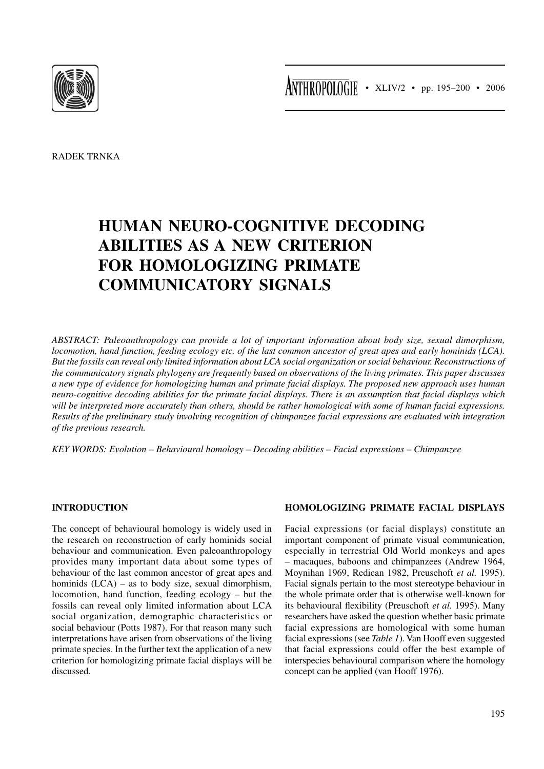

RADEK TRNKA

# **HUMAN NEURO-COGNITIVE DECODING ABILITIES AS A NEW CRITERION FOR HOMOLOGIZING PRIMATE COMMUNICATORY SIGNALS**

*ABSTRACT: Paleoanthropology can provide a lot of important information about body size, sexual dimorphism, locomotion, hand function, feeding ecology etc. of the last common ancestor of great apes and early hominids (LCA). But the fossils can reveal only limited information about LCA social organization or social behaviour. Reconstructions of the communicatory signals phylogeny are frequently based on observations of the living primates. This paper discusses a new type of evidence for homologizing human and primate facial displays. The proposed new approach uses human neuro-cognitive decoding abilities for the primate facial displays. There is an assumption that facial displays which will be interpreted more accurately than others, should be rather homological with some of human facial expressions. Results of the preliminary study involving recognition of chimpanzee facial expressions are evaluated with integration of the previous research.*

*KEY WORDS: Evolution – Behavioural homology – Decoding abilities – Facial expressions – Chimpanzee*

### **INTRODUCTION**

The concept of behavioural homology is widely used in the research on reconstruction of early hominids social behaviour and communication. Even paleoanthropology provides many important data about some types of behaviour of the last common ancestor of great apes and hominids (LCA) – as to body size, sexual dimorphism, locomotion, hand function, feeding ecology – but the fossils can reveal only limited information about LCA social organization, demographic characteristics or social behaviour (Potts 1987). For that reason many such interpretations have arisen from observations of the living primate species. In the further text the application of a new criterion for homologizing primate facial displays will be discussed.

# **HOMOLOGIZING PRIMATE FACIAL DISPLAYS**

Facial expressions (or facial displays) constitute an important component of primate visual communication, especially in terrestrial Old World monkeys and apes – macaques, baboons and chimpanzees (Andrew 1964, Moynihan 1969, Redican 1982, Preuschoft *et al.* 1995). Facial signals pertain to the most stereotype behaviour in the whole primate order that is otherwise well-known for its behavioural flexibility (Preuschoft *et al.* 1995). Many researchers have asked the question whether basic primate facial expressions are homological with some human facial expressions (see *Table 1*). Van Hooff even suggested that facial expressions could offer the best example of interspecies behavioural comparison where the homology concept can be applied (van Hooff 1976).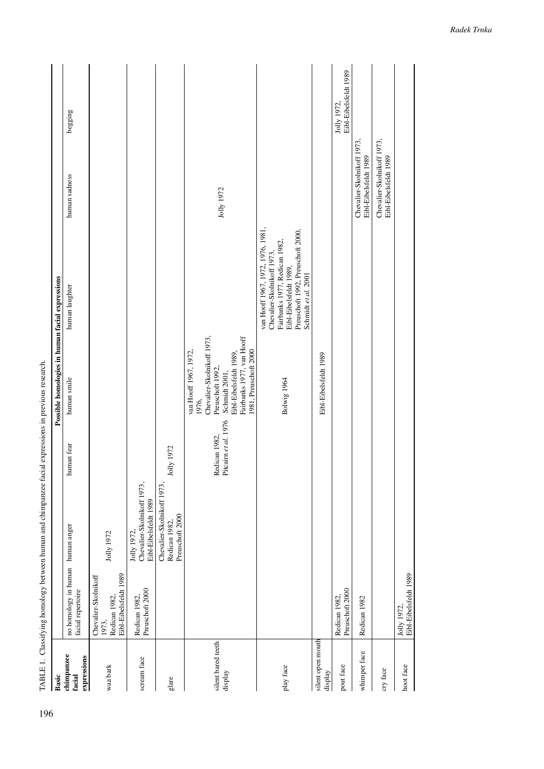|                                     |                                                       | TABLE 1. Classifying homology between human and chimpanzee facial expressions in previous research. |                                    |                                                    |                                                                                                                            |                                                     |                                      |
|-------------------------------------|-------------------------------------------------------|-----------------------------------------------------------------------------------------------------|------------------------------------|----------------------------------------------------|----------------------------------------------------------------------------------------------------------------------------|-----------------------------------------------------|--------------------------------------|
| Basic                               |                                                       |                                                                                                     |                                    | Possible homologies in human facial expressions    |                                                                                                                            |                                                     |                                      |
| chimpanzee<br>expressions<br>facial | no homology in human human anger<br>facial repertoire |                                                                                                     | human fear                         | human smile                                        | human laughter                                                                                                             | human sadness                                       | begging                              |
| waa bark                            | Chevalier-Skolnikoff<br>1973,                         | Jolly 1972                                                                                          |                                    |                                                    |                                                                                                                            |                                                     |                                      |
|                                     | Eibl-Eibelsfeldt 1989<br>Redican 1982,                |                                                                                                     |                                    |                                                    |                                                                                                                            |                                                     |                                      |
| scream face                         | Preuschoft 2000<br>Redican 1982,                      | Chevalier-Skolnikoff 1973,<br>Eibl-Eibelsfeldt 1989<br>Jolly 1972,                                  |                                    |                                                    |                                                                                                                            |                                                     |                                      |
| glare                               |                                                       | Chevalier-Skolnikoff 1973,<br>Preuschoft 2000<br>Redican 1982,                                      | Jolly 1972                         |                                                    |                                                                                                                            |                                                     |                                      |
|                                     |                                                       |                                                                                                     |                                    | van Hooff 1967, 1972,<br>1976.                     |                                                                                                                            |                                                     |                                      |
| silent bared teeth                  |                                                       |                                                                                                     | Redican 1982, Pitcairn et al. 1976 | Chevalier-Skolnikoff 1973,<br>Preuschoft 1992,     |                                                                                                                            | Jolly 1972                                          |                                      |
| display                             |                                                       |                                                                                                     |                                    | Eibl-Eibelsfeldt 1989,<br>Schmidt 2001,            |                                                                                                                            |                                                     |                                      |
|                                     |                                                       |                                                                                                     |                                    | Fairbanks 1977, van Hooff<br>1981, Preuschoft 2000 |                                                                                                                            |                                                     |                                      |
| play face                           |                                                       |                                                                                                     |                                    | Bolwig 1964                                        | van Hooff 1967, 1972, 1976, 1981,<br>Fairbanks 1977, Redican 1982,<br>Chevalier-Skolnikoff 1973,<br>Eibl-Eibelsfeldt 1989, |                                                     |                                      |
|                                     |                                                       |                                                                                                     |                                    |                                                    | Preuschoft 1992, Preuschoft 2000,<br>Schmidt et al. 2001                                                                   |                                                     |                                      |
| silent open mouth<br>display        |                                                       |                                                                                                     |                                    | Eibl-Eibelsfeldt 1989                              |                                                                                                                            |                                                     |                                      |
| pout face                           | Preuschoft 2000<br>Redican 1982,                      |                                                                                                     |                                    |                                                    |                                                                                                                            |                                                     | Eibl-Eibelsfeldt 1989<br>Jolly 1972, |
| whimper face                        | Redican 1982                                          |                                                                                                     |                                    |                                                    |                                                                                                                            | Chevalier-Skolnikoff 1973,<br>Eibl-Eibelsfeldt 1989 |                                      |
| cry face                            |                                                       |                                                                                                     |                                    |                                                    |                                                                                                                            | Chevalier-Skolnikoff 1973,<br>Eibl-Eibelsfeldt 1989 |                                      |
| hoot face                           | Eibl-Eibelsfeldt 1989<br>Jolly 1972                   |                                                                                                     |                                    |                                                    |                                                                                                                            |                                                     |                                      |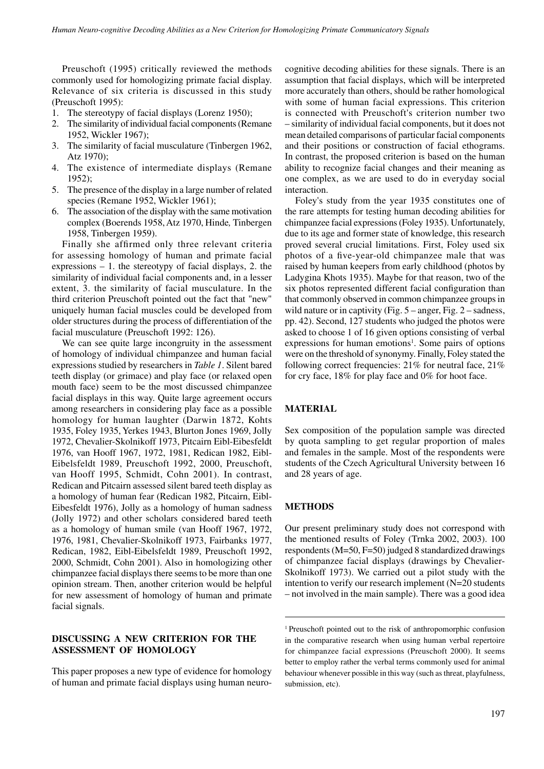Preuschoft (1995) critically reviewed the methods commonly used for homologizing primate facial display. Relevance of six criteria is discussed in this study (Preuschoft 1995):

- 1. The stereotypy of facial displays (Lorenz 1950);
- 2. The similarity of individual facial components (Remane 1952, Wickler 1967);
- 3. The similarity of facial musculature (Tinbergen 1962, Atz 1970);
- 4. The existence of intermediate displays (Remane 1952);
- 5. The presence of the display in a large number of related species (Remane 1952, Wickler 1961);
- 6. The association of the display with the same motivation complex (Boerends 1958, Atz 1970, Hinde*,* Tinbergen 1958, Tinbergen 1959).

Finally she affirmed only three relevant criteria for assessing homology of human and primate facial expressions – 1. the stereotypy of facial displays, 2. the similarity of individual facial components and, in a lesser extent, 3. the similarity of facial musculature. In the third criterion Preuschoft pointed out the fact that "new" uniquely human facial muscles could be developed from older structures during the process of differentiation of the facial musculature (Preuschoft 1992: 126).

We can see quite large incongruity in the assessment of homology of individual chimpanzee and human facial expressions studied by researchers in *Table 1*. Silent bared teeth display (or grimace) and play face (or relaxed open mouth face) seem to be the most discussed chimpanzee facial displays in this way. Quite large agreement occurs among researchers in considering play face as a possible homology for human laughter (Darwin 1872, Kohts 1935, Foley 1935, Yerkes 1943, Blurton Jones 1969, Jolly 1972, Chevalier-Skolnikoff 1973, Pitcairn Eibl-Eibesfeldt 1976, van Hooff 1967, 1972, 1981, Redican 1982, Eibl-Eibelsfeldt 1989, Preuschoft 1992, 2000, Preuschoft, van Hooff 1995, Schmidt, Cohn 2001). In contrast, Redican and Pitcairn assessed silent bared teeth display as a homology of human fear (Redican 1982, Pitcairn, Eibl-Eibesfeldt 1976), Jolly as a homology of human sadness (Jolly 1972) and other scholars considered bared teeth as a homology of human smile (van Hooff 1967, 1972, 1976, 1981, Chevalier-Skolnikoff 1973, Fairbanks 1977, Redican, 1982, Eibl-Eibelsfeldt 1989, Preuschoft 1992, 2000, Schmidt, Cohn 2001). Also in homologizing other chimpanzee facial displays there seems to be more than one opinion stream. Then, another criterion would be helpful for new assessment of homology of human and primate facial signals.

## **DISCUSSING A NEW CRITERION FOR THE ASSESSMENT OF HOMOLOGY**

This paper proposes a new type of evidence for homology of human and primate facial displays using human neurocognitive decoding abilities for these signals. There is an assumption that facial displays, which will be interpreted more accurately than others, should be rather homological with some of human facial expressions. This criterion is connected with Preuschoft's criterion number two – similarity of individual facial components, but it does not mean detailed comparisons of particular facial components and their positions or construction of facial ethograms. In contrast, the proposed criterion is based on the human ability to recognize facial changes and their meaning as one complex, as we are used to do in everyday social interaction.

Foley's study from the year 1935 constitutes one of the rare attempts for testing human decoding abilities for chimpanzee facial expressions (Foley 1935). Unfortunately, due to its age and former state of knowledge, this research proved several crucial limitations. First, Foley used six photos of a five-year-old chimpanzee male that was raised by human keepers from early childhood (photos by Ladygina Khots 1935). Maybe for that reason, two of the six photos represented different facial configuration than that commonly observed in common chimpanzee groups in wild nature or in captivity (Fig. 5 – anger, Fig. 2 – sadness, pp. 42). Second, 127 students who judged the photos were asked to choose 1 of 16 given options consisting of verbal expressions for human emotions<sup>1</sup>. Some pairs of options were on the threshold of synonymy. Finally, Foley stated the following correct frequencies: 21% for neutral face, 21% for cry face, 18% for play face and 0% for hoot face.

#### **MATERIAL**

Sex composition of the population sample was directed by quota sampling to get regular proportion of males and females in the sample. Most of the respondents were students of the Czech Agricultural University between 16 and 28 years of age.

#### **METHODS**

Our present preliminary study does not correspond with the mentioned results of Foley (Trnka 2002, 2003). 100 respondents (M=50, F=50) judged 8 standardized drawings of chimpanzee facial displays (drawings by Chevalier-Skolnikoff 1973). We carried out a pilot study with the intention to verify our research implement (N=20 students – not involved in the main sample). There was a good idea

<sup>1</sup> Preuschoft pointed out to the risk of anthropomorphic confusion in the comparative research when using human verbal repertoire for chimpanzee facial expressions (Preuschoft 2000). It seems better to employ rather the verbal terms commonly used for animal behaviour whenever possible in this way (such as threat, playfulness, submission, etc).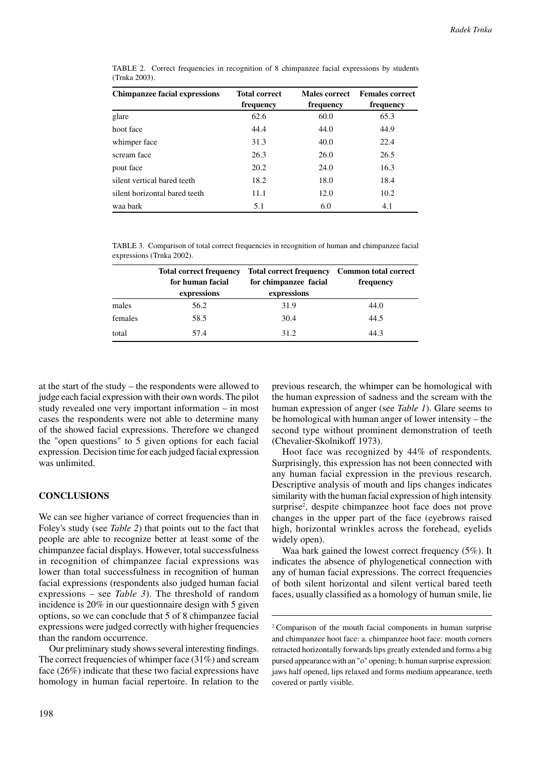| <b>Chimpanzee facial expressions</b> | <b>Total correct</b><br>frequency | Males correct<br>frequency | <b>Females correct</b><br>frequency |
|--------------------------------------|-----------------------------------|----------------------------|-------------------------------------|
| glare                                | 62.6                              | 60.0                       | 65.3                                |
| hoot face                            | 44.4                              | 44.0                       | 44.9                                |
| whimper face                         | 31.3                              | 40.0                       | 22.4                                |
| scream face                          | 26.3                              | 26.0                       | 26.5                                |
| pout face                            | 20.2                              | 24.0                       | 16.3                                |
| silent vertical hared teeth          | 18.2                              | 18.0                       | 18.4                                |
| silent horizontal bared teeth        | 11.1                              | 12.0                       | 10.2                                |
| waa bark                             | 5.1                               | 6.0                        | 4.1                                 |

TABLE 2. Correct frequencies in recognition of 8 chimpanzee facial expressions by students (Trnka 2003).

TABLE 3. Comparison of total correct frequencies in recognition of human and chimpanzee facial expressions (Trnka 2002).

|         | <b>Total correct frequency</b> | Total correct frequency Common total correct |           |
|---------|--------------------------------|----------------------------------------------|-----------|
|         | for human facial               | for chimpanzee facial                        | frequency |
|         | expressions                    | expressions                                  |           |
| males   | 56.2                           | 31.9                                         | 44.0      |
| females | 58.5                           | 30.4                                         | 44.5      |
| total   | 57.4                           | 31.2                                         | 44.3      |

at the start of the study – the respondents were allowed to judge each facial expression with their own words. The pilot study revealed one very important information – in most cases the respondents were not able to determine many of the showed facial expressions. Therefore we changed the "open questions" to 5 given options for each facial expression. Decision time for each judged facial expression was unlimited.

# **CONCLUSIONS**

We can see higher variance of correct frequencies than in Foley's study (see *Table 2*) that points out to the fact that people are able to recognize better at least some of the chimpanzee facial displays. However, total successfulness in recognition of chimpanzee facial expressions was lower than total successfulness in recognition of human facial expressions (respondents also judged human facial expressions – see *Table 3*). The threshold of random incidence is 20% in our questionnaire design with 5 given options, so we can conclude that 5 of 8 chimpanzee facial expressions were judged correctly with higher frequencies than the random occurrence.

Our preliminary study shows several interesting findings. The correct frequencies of whimper face (31%) and scream face (26%) indicate that these two facial expressions have homology in human facial repertoire. In relation to the previous research, the whimper can be homological with the human expression of sadness and the scream with the human expression of anger (see *Table 1*). Glare seems to be homological with human anger of lower intensity – the second type without prominent demonstration of teeth (Chevalier-Skolnikoff 1973).

Hoot face was recognized by 44% of respondents. Surprisingly, this expression has not been connected with any human facial expression in the previous research. Descriptive analysis of mouth and lips changes indicates similarity with the human facial expression of high intensity surprise<sup>2</sup>, despite chimpanzee hoot face does not prove changes in the upper part of the face (eyebrows raised high, horizontal wrinkles across the forehead, eyelids widely open).

Waa bark gained the lowest correct frequency (5%). It indicates the absence of phylogenetical connection with any of human facial expressions. The correct frequencies of both silent horizontal and silent vertical bared teeth faces, usually classified as a homology of human smile, lie

<sup>&</sup>lt;sup>2</sup> Comparison of the mouth facial components in human surprise and chimpanzee hoot face: a. chimpanzee hoot face: mouth corners retracted horizontally forwards lips greatly extended and forms a big pursed appearance with an "o" opening; b. human surprise expression: jaws half opened, lips relaxed and forms medium appearance, teeth covered or partly visible.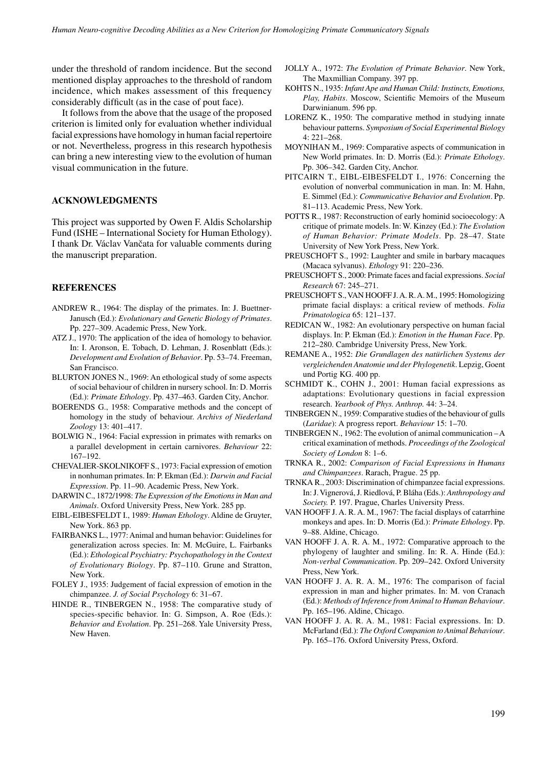under the threshold of random incidence. But the second mentioned display approaches to the threshold of random incidence, which makes assessment of this frequency considerably difficult (as in the case of pout face).

It follows from the above that the usage of the proposed criterion is limited only for evaluation whether individual facial expressions have homology in human facial repertoire or not. Nevertheless, progress in this research hypothesis can bring a new interesting view to the evolution of human visual communication in the future.

## **ACKNOWLEDGMENTS**

This project was supported by Owen F. Aldis Scholarship Fund (ISHE – International Society for Human Ethology). I thank Dr. Václav Vančata for valuable comments during the manuscript preparation.

## **REFERENCES**

- ANDREW R., 1964: The display of the primates. In: J. Buettner-Janusch (Ed.): *Evolutionary and Genetic Biology of Primates*. Pp. 227–309. Academic Press, New York.
- ATZ J., 1970: The application of the idea of homology to behavior. In: I. Aronson, E. Tobach, D. Lehman, J. Rosenblatt (Eds.): *Development and Evolution of Behavior*. Pp. 53–74. Freeman, San Francisco.
- BLURTON JONES N., 1969: An ethological study of some aspects of social behaviour of children in nursery school. In: D. Morris (Ed.): *Primate Ethology*. Pp. 437–463. Garden City, Anchor.
- BOERENDS G., 1958: Comparative methods and the concept of homology in the study of behaviour. *Archivs of Niederland Zoology* 13: 401–417.
- BOLWIG N., 1964: Facial expression in primates with remarks on a parallel development in certain carnivores. *Behaviour* 22: 167–192.
- CHEVALIER-SKOLNIKOFF S., 1973: Facial expression of emotion in nonhuman primates. In: P. Ekman (Ed.): *Darwin and Facial Expression*. Pp. 11–90. Academic Press, New York.
- DARWIN C., 1872/1998: *The Expression of the Emotions in Man and Animals*. Oxford University Press, New York. 285 pp.
- EIBL-EIBESFELDT I., 1989: *Human Ethology*. Aldine de Gruyter, New York. 863 pp.
- FAIRBANKS L., 1977: Animal and human behavior: Guidelines for generalization across species. In: M. McGuire, L. Fairbanks (Ed.): *Ethological Psychiatry: Psychopathology in the Context of Evolutionary Biology*. Pp. 87–110. Grune and Stratton, New York.
- FOLEY J., 1935: Judgement of facial expression of emotion in the chimpanzee. *J. of Social Psychology* 6: 31–67.
- HINDE R., TINBERGEN N., 1958: The comparative study of species-specific behavior. In: G. Simpson, A. Roe (Eds.): *Behavior and Evolution*. Pp. 251–268. Yale University Press, New Haven.
- JOLLY A., 1972: *The Evolution of Primate Behavior*. New York, The Maxmillian Company. 397 pp.
- KOHTS N., 1935: *Infant Ape and Human Child: Instincts, Emotions, Play, Habits*. Moscow, Scientific Memoirs of the Museum Darwinianum. 596 pp.
- LORENZ K., 1950: The comparative method in studying innate behaviour patterns. *Symposium of Social Experimental Biology* 4: 221–268.
- MOYNIHAN M., 1969: Comparative aspects of communication in New World primates. In: D. Morris (Ed.): *Primate Ethology*. Pp. 306–342. Garden City, Anchor.
- PITCAIRN T., EIBL-EIBESFELDT I., 1976: Concerning the evolution of nonverbal communication in man. In: M. Hahn, E. Simmel (Ed.): *Communicative Behavior and Evolution*. Pp. 81–113. Academic Press, New York.
- POTTS R., 1987: Reconstruction of early hominid socioecology: A critique of primate models. In: W. Kinzey (Ed.): *The Evolution of Human Behavior: Primate Models*. Pp. 28–47. State University of New York Press, New York.
- PREUSCHOFT S., 1992: Laughter and smile in barbary macaques (Macaca sylvanus). *Ethology* 91: 220–236.
- PREUSCHOFT S., 2000: Primate faces and facial expressions. *Social Research* 67: 245–271.
- PREUSCHOFT S., VAN HOOFF J. A. R. A. M., 1995: Homologizing primate facial displays: a critical review of methods. *Folia Primatologica* 65: 121–137.
- REDICAN W., 1982: An evolutionary perspective on human facial displays. In: P. Ekman (Ed.): *Emotion in the Human Face*. Pp. 212–280. Cambridge University Press, New York.
- REMANE A., 1952: *Die Grundlagen des natürlichen Systems der vergleichenden Anatomie und der Phylogenetik*. Lepzig, Goent und Portig KG. 400 pp.
- SCHMIDT K., COHN J., 2001: Human facial expressions as adaptations: Evolutionary questions in facial expression research. *Yearbook of Phys. Anthrop.* 44: 3–24.
- TINBERGEN N., 1959: Comparative studies of the behaviour of gulls (*Laridae*): A progress report. *Behaviour* 15: 1–70.
- TINBERGEN N., 1962: The evolution of animal communication A critical examination of methods. *Proceedings of the Zoological Society of London* 8: 1–6.
- TRNKA R., 2002: *Comparison of Facial Expressions in Humans and Chimpanzees*. Rarach, Prague. 25 pp.
- TRNKA R., 2003: Discrimination of chimpanzee facial expressions. In: J. Vignerová, J. Riedlová, P. Bláha (Eds.): *Anthropology and Society.* P. 197. Prague, Charles University Press.
- VAN HOOFF J. A. R. A. M., 1967: The facial displays of catarrhine monkeys and apes. In: D. Morris (Ed.): *Primate Ethology*. Pp. 9–88. Aldine, Chicago.
- VAN HOOFF J. A. R. A. M., 1972: Comparative approach to the phylogeny of laughter and smiling. In: R. A. Hinde (Ed.): *Non-verbal Communication*. Pp. 209–242. Oxford University Press, New York.
- VAN HOOFF J. A. R. A. M., 1976: The comparison of facial expression in man and higher primates. In: M. von Cranach (Ed.): *Methods of Inference from Animal to Human Behaviour*. Pp. 165–196. Aldine, Chicago.
- VAN HOOFF J. A. R. A. M., 1981: Facial expressions. In: D. McFarland (Ed.): *The Oxford Companion to Animal Behaviour*. Pp. 165–176. Oxford University Press, Oxford.